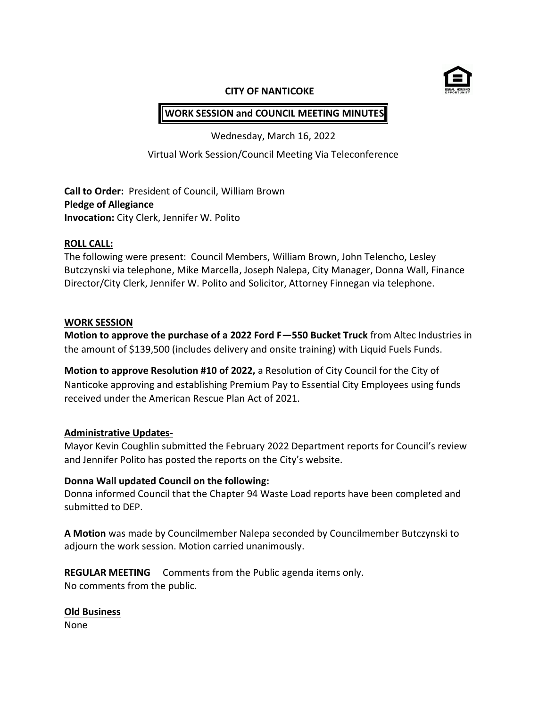

#### **CITY OF NANTICOKE**

# **WORK SESSION and COUNCIL MEETING MINUTES**

Wednesday, March 16, 2022

Virtual Work Session/Council Meeting Via Teleconference

**Call to Order:** President of Council, William Brown **Pledge of Allegiance Invocation:** City Clerk, Jennifer W. Polito

#### **ROLL CALL:**

The following were present: Council Members, William Brown, John Telencho, Lesley Butczynski via telephone, Mike Marcella, Joseph Nalepa, City Manager, Donna Wall, Finance Director/City Clerk, Jennifer W. Polito and Solicitor, Attorney Finnegan via telephone.

### **WORK SESSION**

**Motion to approve the purchase of a 2022 Ford F—550 Bucket Truck** from Altec Industries in the amount of \$139,500 (includes delivery and onsite training) with Liquid Fuels Funds.

**Motion to approve Resolution #10 of 2022,** a Resolution of City Council for the City of Nanticoke approving and establishing Premium Pay to Essential City Employees using funds received under the American Rescue Plan Act of 2021.

### **Administrative Updates-**

Mayor Kevin Coughlin submitted the February 2022 Department reports for Council's review and Jennifer Polito has posted the reports on the City's website.

### **Donna Wall updated Council on the following:**

Donna informed Council that the Chapter 94 Waste Load reports have been completed and submitted to DEP.

**A Motion** was made by Councilmember Nalepa seconded by Councilmember Butczynski to adjourn the work session. Motion carried unanimously.

### **REGULAR MEETING** Comments from the Public agenda items only. No comments from the public.

### **Old Business**

None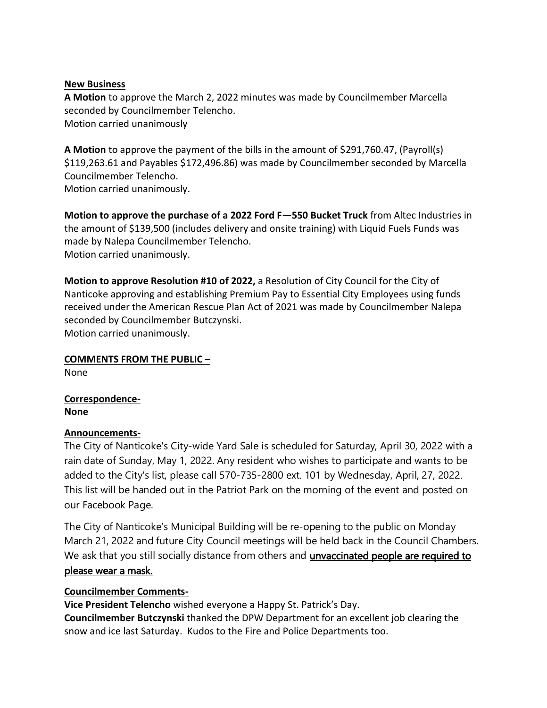### **New Business**

**A Motion** to approve the March 2, 2022 minutes was made by Councilmember Marcella seconded by Councilmember Telencho. Motion carried unanimously

**A Motion** to approve the payment of the bills in the amount of \$291,760.47, (Payroll(s) \$119,263.61 and Payables \$172,496.86) was made by Councilmember seconded by Marcella Councilmember Telencho. Motion carried unanimously.

**Motion to approve the purchase of a 2022 Ford F—550 Bucket Truck** from Altec Industries in the amount of \$139,500 (includes delivery and onsite training) with Liquid Fuels Funds was made by Nalepa Councilmember Telencho. Motion carried unanimously.

**Motion to approve Resolution #10 of 2022,** a Resolution of City Council for the City of Nanticoke approving and establishing Premium Pay to Essential City Employees using funds received under the American Rescue Plan Act of 2021 was made by Councilmember Nalepa seconded by Councilmember Butczynski. Motion carried unanimously.

**COMMENTS FROM THE PUBLIC –** None

**Correspondence-None**

### **Announcements-**

The City of Nanticoke's City-wide Yard Sale is scheduled for Saturday, April 30, 2022 with a rain date of Sunday, May 1, 2022. Any resident who wishes to participate and wants to be added to the City's list, please call 570-735-2800 ext. 101 by Wednesday, April, 27, 2022. This list will be handed out in the Patriot Park on the morning of the event and posted on our Facebook Page.

The City of Nanticoke's Municipal Building will be re-opening to the public on Monday March 21, 2022 and future City Council meetings will be held back in the Council Chambers. We ask that you still socially distance from others and *unvaccinated people are required to* please wear a mask.

### **Councilmember Comments-**

**Vice President Telencho** wished everyone a Happy St. Patrick's Day.

**Councilmember Butczynski** thanked the DPW Department for an excellent job clearing the snow and ice last Saturday. Kudos to the Fire and Police Departments too.